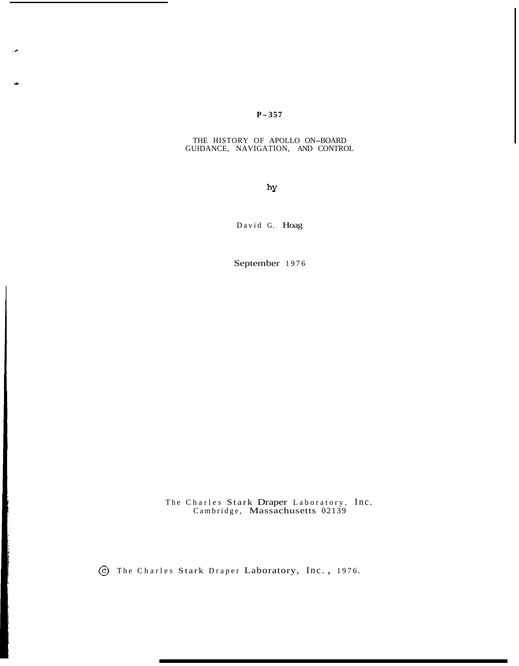## **P- <sup>357</sup>**

THE HISTORY OF APOLLO ON-BOARD GUIDANCE, NAVIGATION, AND CONTROL

by

David G. Hoag

September 1976

The Charles Stark Draper Laboratory, Inc. Cambridge, Massachusetts 02139



@ The Charles Stark Draper Laboratory, Inc. , 1976.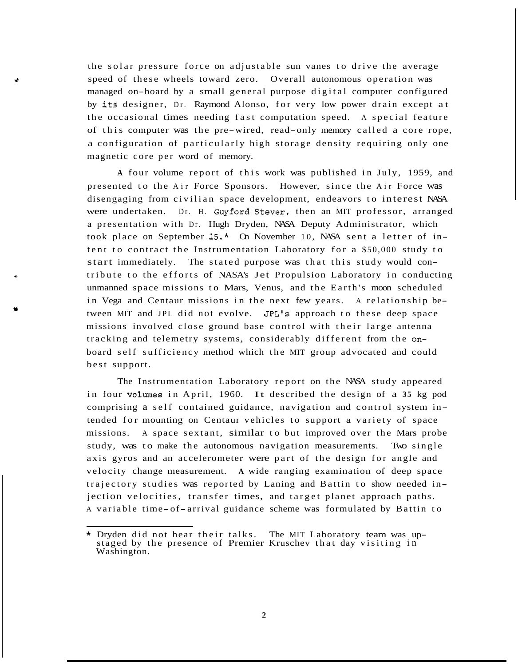the solar pressure force on adjustable sun vanes to drive the average speed of these wheels toward zero. Overall autonomous operation was managed on-board by a small general purpose digital computer configured by its designer, Dr. Raymond Alonso, for very low power drain except at the occasional times needing fast computation speed. A special feature of this computer was the pre-wired, read-only memory called a core rope, a configuration of particularly high storage density requiring only one magnetic core per word of memory.

**A** four volume report of this work was published in July, 1959, and presented to the Air Force Sponsors. However, since the Air Force was disengaging from civilian space development, endeavors to interest NASA were undertaken. Dr. H. Guyford Stever, then an MIT professor, arranged a presentation with Dr. Hugh Dryden, NASA Deputy Administrator, which took place on September 15.\* On November 10, NASA sent a letter of intent to contract the Instrumentation Laboratory for a \$50,000 study to start immediately. The stated purpose was that this study would contribute to the efforts of NASA's Jet Propulsion Laboratory in conducting unmanned space missions to Mars, Venus, and the Earth's moon scheduled in Vega and Centaur missions in the next few years. A relationship between MIT and JPL did not evolve. JPL's approach to these deep space missions involved close ground base control with their large antenna tracking and telemetry systems, considerably different from the onboard self sufficiency method which the MIT group advocated and could best support.

*c* 

The Instrumentation Laboratory report on the NASA study appeared in four volumes in April, 1960. It described the design of a **35** kg pod comprising a self contained guidance, navigation and control system intended for mounting on Centaur vehicles to support a variety of space missions. A space sextant, similar to but improved over the Mars probe study, was to make the autonomous navigation measurements. Two single axis gyros and an accelerometer were part of the design for angle and velocity change measurement. **A** wide ranging examination of deep space trajectory studies was reported by Laning and Battin to show needed injection velocities, transfer times, and target planet approach paths. A variable time- of- arrival guidance scheme was formulated by Battin to

<sup>\*</sup> Dryden did not hear their talks. The MIT Laboratory team was up- staged by the presence of Premier Kruschev that day visiting in Washington.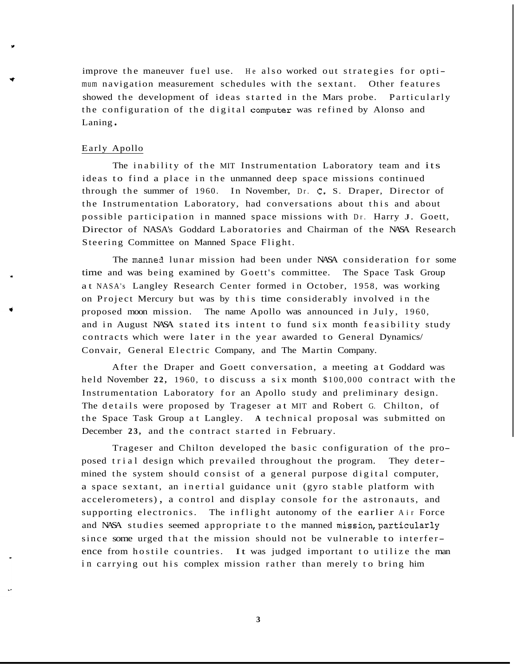improve the maneuver fuel use. He also worked out strategies for optimum navigation measurement schedules with the sextant. Other features showed the development of ideas started in the Mars probe. Particularly the configuration of the digital computer was refined by Alonso and Laning .

#### Early Apollo

*J* 

The inability of the MIT Instrumentation Laboratory team and its ideas to find a place in the unmanned deep space missions continued through the summer of 1960. In November, Dr. C. S. Draper, Director of the Instrumentation Laboratory, had conversations about this and about possible participation in manned space missions with Dr. Harry J. Goett, Director of NASA's Goddard Laboratories and Chairman of the NASA Research Steering Committee on Manned Space Flight.

The manned lunar mission had been under NASA consideration for some time and was being examined by Goett's committee. The Space Task Group at NASA's Langley Research Center formed in October, 1958, was working on Project Mercury but was by this time considerably involved in the proposed moon mission. The name Apollo was announced in July, 1960, and in August NASA stated its intent to fund six month feasibility study contracts which were later in the year awarded to General Dynamics/ Convair, General Electric Company, and The Martin Company.

After the Draper and Goett conversation, a meeting at Goddard was held November **22,** 1960, to discuss a six month \$100,000 contract with the Instrumentation Laboratory for an Apollo study and preliminary design. The details were proposed by Trageser at MIT and Robert G. Chilton, of the Space Task Group at Langley. **A** technical proposal was submitted on December **23,** and the contract started in February.

Trageser and Chilton developed the basic configuration of the proposed trial design which prevailed throughout the program. They determined the system should consist of a general purpose digital computer, a space sextant, an inertial guidance unit (gyro stable platform with accelerometers) , a control and display console for the astronauts, and supporting electronics. The inflight autonomy of the earlier Air Force and NASA studies seemed appropriate to the manned mission, particularly since some urged that the mission should not be vulnerable to interference from hostile countries. It was judged important to utilize the man in carrying out his complex mission rather than merely to bring him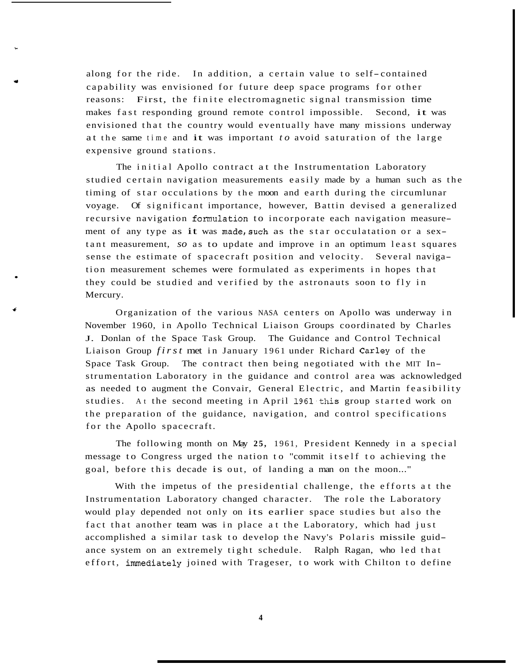along for the ride. In addition, a certain value to self- contained capability was envisioned for future deep space programs for other reasons: First, the finite electromagnetic signal transmission time makes fast responding ground remote control impossible. Second, it was envisioned that the country would eventually have many missions underway at the same time and it was important *to* avoid saturation of the large expensive ground stations.

**P** 

.

**4** 

The initial Apollo contract at the Instrumentation Laboratory studied certain navigation measurements easily made by a human such as the timing of star occulations by the moon and earth during the circumlunar voyage. Of significant importance, however, Battin devised a generalized recursive navigation formulation to incorporate each navigation measurement of any type as it was made, such as the star occulatation or a sextant measurement, *so* as to update and improve in an optimum least squares sense the estimate of spacecraft position and velocity. Several navigation measurement schemes were formulated as experiments in hopes that they could be studied and verified by the astronauts soon to fly in Mercury.

Organization of the various NASA centers on Apollo was underway in November 1960, in Apollo Technical Liaison Groups coordinated by Charles J. Donlan of the Space Task Group. The Guidance and Control Technical Liaison Group *first* met in January 1961 under Richard Carley of the Space Task Group. The contract then being negotiated with the MIT Instrumentation Laboratory in the guidance and control area was acknowledged as needed to augment the Convair, General Electric, and Martin feasibility studies. At the second meeting in April 1961 this group started work on the preparation of the guidance, navigation, and control specifications for the Apollo spacecraft.

The following month on May **25,** 1961, President Kennedy in a special message to Congress urged the nation to "commit itself to achieving the goal, before this decade is out, of landing a man on the moon..."

With the impetus of the presidential challenge, the efforts at the Instrumentation Laboratory changed character. The role the Laboratory would play depended not only on its earlier space studies but also the fact that another team was in place at the Laboratory, which had just accomplished a similar task to develop the Navy's Polaris missile guidance system on an extremely tight schedule. Ralph Ragan, who led that effort, immediately joined with Trageser, to work with Chilton to define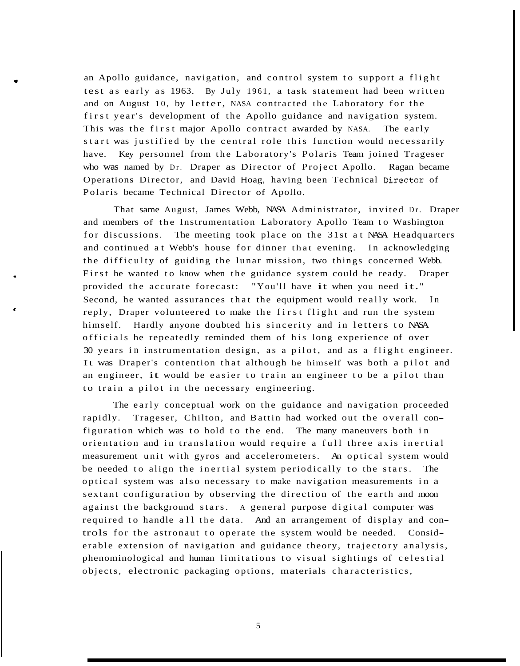an Apollo guidance, navigation, and control system to support a flight test as early as 1963. By July 1961, a task statement had been written and on August 10, by letter, NASA contracted the Laboratory for the first year's development of the Apollo guidance and navigation system. This was the first major Apollo contract awarded by NASA. The early start was justified by the central role this function would necessarily have. Key personnel from the Laboratory's Polaris Team joined Trageser who was named by Dr. Draper as Director of Project Apollo. Ragan became Operations Director, and David Hoag, having been Technical Director of Polaris became Technical Director of Apollo.

That same August, James Webb, NASA Administrator, invited Dr. Draper and members of the Instrumentation Laboratory Apollo Team to Washington for discussions. The meeting took place on the 31st at NASA Headquarters and continued at Webb's house for dinner that evening. In acknowledging the difficulty of guiding the lunar mission, two things concerned Webb. First he wanted to know when the guidance system could be ready. Draper provided the accurate forecast: "You'll have it when you need it." Second, he wanted assurances that the equipment would really work. In reply, Draper volunteered to make the first flight and run the system himself. Hardly anyone doubted his sincerity and in letters to NASA officials he repeatedly reminded them of his long experience of over 30 years in instrumentation design, as a pilot, and as a flight engineer. It was Draper's contention that although he himself was both a pilot and an engineer, it would be easier to train an engineer to be a pilot than to train a pilot in the necessary engineering.

The early conceptual work on the guidance and navigation proceeded rapidly. Trageser, Chilton, and Battin had worked out the overall configuration which was to hold to the end. The many maneuvers both in orientation and in translation would require a full three axis inertial measurement unit with gyros and accelerometers. An optical system would be needed to align the inertial system periodically to the stars. The optical system was also necessary to make navigation measurements in a sextant configuration by observing the direction of the earth and moon against the background stars. A general purpose digital computer was required to handle all the data. And an arrangement of display and controls for the astronaut to operate the system would be needed. Considerable extension of navigation and guidance theory, trajectory analysis, phenominological and human limitations to visual sightings of celestial objects, electronic packaging options, materials characteristics,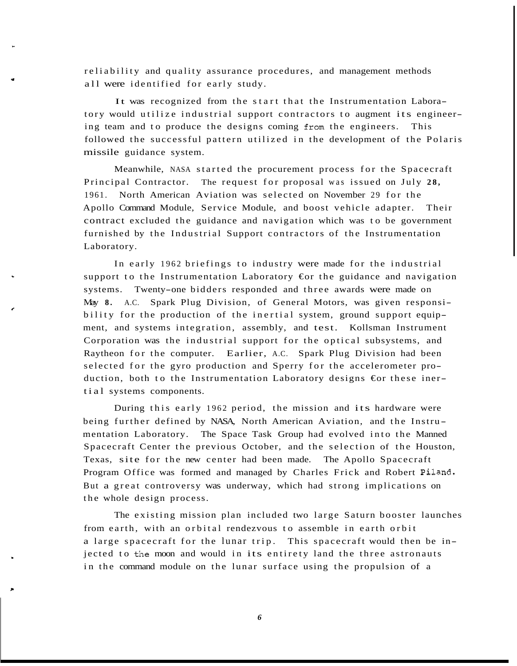reliability and quality assurance procedures, and management methods all were identified for early study.

It was recognized from the start that the Instrumentation Laboratory would utilize industrial support contractors to augment its engineering team and to produce the designs coming from the engineers. This followed the successful pattern utilized in the development of the Polaris missile guidance system.

Meanwhile, NASA started the procurement process for the Spacecraft Principal Contractor. The request for proposal was issued on July **28,**  1961. North American Aviation was selected on November 29 for the Apollo Command Module, Service Module, and boost vehicle adapter. Their contract excluded the guidance and navigation which was to be government furnished by the Industrial Support contractors of the Instrumentation Laboratory.

In early 1962 briefings to industry were made for the industrial support to the Instrumentation Laboratory  $\epsilon$  or the guidance and navigation systems. Twenty-one bidders responded and three awards were made on May **8.** A.C. Spark Plug Division, of General Motors, was given responsibility for the production of the inertial system, ground support equipment, and systems integration, assembly, and test. Kollsman Instrument Corporation was the industrial support for the optical subsystems, and Raytheon for the computer. Earlier, A.C. Spark Plug Division had been selected for the gyro production and Sperry for the accelerometer production, both to the Instrumentation Laboratory designs €or these inertial systems components.

During this early 1962 period, the mission and its hardware were being further defined by NASA, North American Aviation, and the Instrumentation Laboratory. The Space Task Group had evolved into the Manned Spacecraft Center the previous October, and the selection of the Houston, Texas, site for the new center had been made. The Apollo Spacecraft Program Office was formed and managed by Charles Frick and Robert Piland. But a great controversy was underway, which had strong implications on the whole design process.

The existing mission plan included two large Saturn booster launches from earth, with an orbital rendezvous to assemble in earth orbit a large spacecraft for the lunar trip. This spacecraft would then be injected to the moon and would in its entirety land the three astronauts in the command module on the lunar surface using the propulsion of a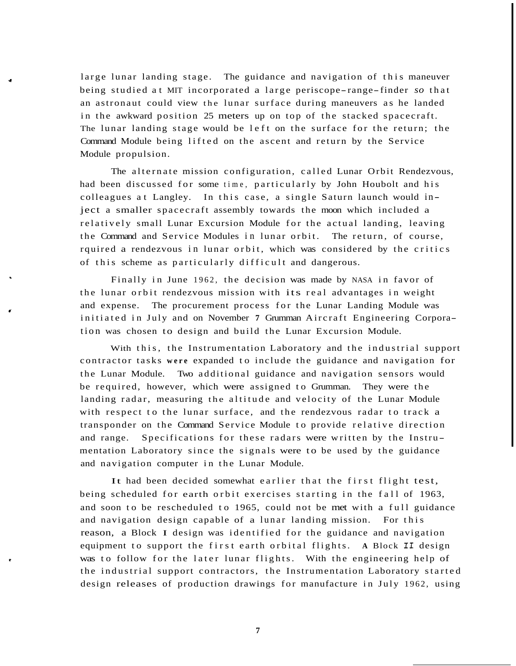large lunar landing stage. The guidance and navigation of this maneuver being studied at MIT incorporated a large periscope-range-finder *so* that an astronaut could view the lunar surface during maneuvers as he landed in the awkward position 25 meters up on top of the stacked spacecraft. The lunar landing stage would be left on the surface for the return; the Command Module being lifted on the ascent and return by the Service Module propulsion.

The alternate mission configuration, called Lunar Orbit Rendezvous, had been discussed for some time, particularly by John Houbolt and his colleagues at Langley. In this case, a single Saturn launch would inject a smaller spacecraft assembly towards the moon which included a relatively small Lunar Excursion Module for the actual landing, leaving the Command and Service Modules in lunar orbit. The return, of course, rquired a rendezvous in lunar orbit, which was considered by the critics of this scheme as particularly difficult and dangerous.

Finally in June 1962, the decision was made by NASA in favor of the lunar orbit rendezvous mission with its real advantages in weight and expense. The procurement process for the Lunar Landing Module was initiated in July and on November **7** Grumman Aircraft Engineering Corporation was chosen to design and build the Lunar Excursion Module.

With this, the Instrumentation Laboratory and the industrial support contractor tasks **were** expanded to include the guidance and navigation for the Lunar Module. Two additional guidance and navigation sensors would be required, however, which were assigned to Grumman. They were the landing radar, measuring the altitude and velocity of the Lunar Module with respect to the lunar surface, and the rendezvous radar to track a transponder on the Command Service Module to provide relative direction and range. Specifications for these radars were written by the Instrumentation Laboratory since the signals were to be used by the guidance and navigation computer in the Lunar Module.

It had been decided somewhat earlier that the first flight test, being scheduled for earth orbit exercises starting in the fall of 1963, and soon to be rescheduled to 1965, could not be met with a full guidance and navigation design capable of a lunar landing mission. For this reason, a Block I design was identified for the guidance and navigation equipment to support the first earth orbital flights. **A** Block I1 design was to follow for the later lunar flights. With the engineering help of the industrial support contractors, the Instrumentation Laboratory started design releases of production drawings for manufacture in July 1962, using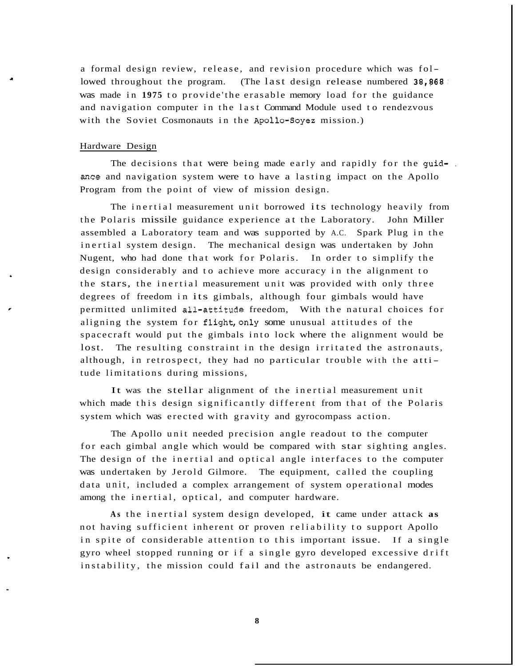a formal design review, release, and revision procedure which was followed throughout the program. (The last design release numbered **38,868**: was made in **1975** to provide'the erasable memory load for the guidance and navigation computer in the last Command Module used to rendezvous with the Soviet Cosmonauts in the Apollo-Soyez mission.)

# Hardware Design

The decisions that were being made early and rapidly for the guid-. ance and navigation system were to have a lasting impact on the Apollo Program from the point of view of mission design.

The inertial measurement unit borrowed its technology heavily from the Polaris missile guidance experience at the Laboratory. John Miller assembled a Laboratory team and was supported by A.C. Spark Plug in the inertial system design. The mechanical design was undertaken by John Nugent, who had done that work for Polaris. In order to simplify the design considerably and to achieve more accuracy in the alignment to the stars, the inertial measurement unit was provided with only three degrees of freedom in its gimbals, although four gimbals would have permitted unlimited all-attitude freedom, With the natural choices for aligning the system for flight, only some unusual attitudes of the spacecraft would put the gimbals into lock where the alignment would be lost. The resulting constraint in the design irritated the astronauts, although, in retrospect, they had no particular trouble with the attitude limitations during missions,

It was the stellar alignment of the inertial measurement unit which made this design significantly different from that of the Polaris system which was erected with gravity and gyrocompass action.

The Apollo unit needed precision angle readout to the computer for each gimbal angle which would be compared with star sighting angles. The design of the inertial and optical angle interfaces to the computer was undertaken by Jerold Gilmore. The equipment, called the coupling data unit, included a complex arrangement of system operational modes among the inertial, optical, and computer hardware.

**As** the inertial system design developed, it came under attack **as**  not having sufficient inherent or proven reliability to support Apollo in spite of considerable attention to this important issue. If a single gyro wheel stopped running or if a single gyro developed excessive drift instability, the mission could fail and the astronauts be endangered.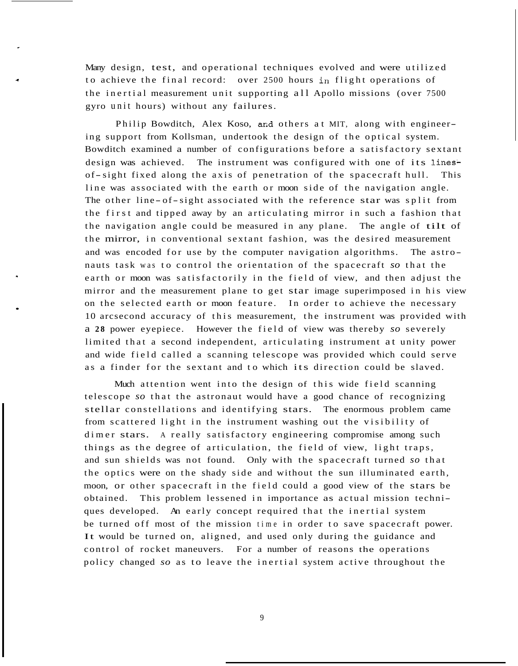Many design, test, and operational techniques evolved and were utilized to achieve the final record: over 2500 hours in flight operations of the inertial measurement unit supporting all Apollo missions (over 7500 gyro unit hours) without any failures.

Philip Bowditch, Alex Koso, and others at MIT, along with engineering support from Kollsman, undertook the design of the optical system. Bowditch examined a number of configurations before a satisfactory sextant design was achieved. The instrument was configured with one of its linesof-sight fixed along the axis of penetration of the spacecraft hull. This line was associated with the earth or moon side of the navigation angle. The other line-of-sight associated with the reference star was split from the first and tipped away by an articulating mirror in such a fashion that the navigation angle could be measured in any plane. The angle of tilt of the mirror, in conventional sextant fashion, was the desired measurement and was encoded for use by the computer navigation algorithms. The astro nauts task was to control the orientation of the spacecraft *so* that the earth or moon was satisfactorily in the field of view, and then adjust the mirror and the measurement plane to get star image superimposed in his view on the selected earth or moon feature. In order to achieve the necessary 10 arcsecond accuracy of this measurement, the instrument was provided with a **28** power eyepiece. However the field of view was thereby *so* severely limited that a second independent, articulating instrument at unity power and wide field called a scanning telescope was provided which could serve as a finder for the sextant and to which its direction could be slaved.

.

Much attention went into the design of this wide field scanning telescope *so* that the astronaut would have a good chance of recognizing stellar constellations and identifying stars. The enormous problem came from scattered light in the instrument washing out the visibility of dimer stars. A really satisfactory engineering compromise among such things as the degree of articulation, the field of view, light traps, and sun shields was not found. Only with the spacecraft turned *so* that the optics were on the shady side and without the sun illuminated earth, moon, or other spacecraft in the field could a good view of the stars be obtained. This problem lessened in importance as actual mission techniques developed. An early concept required that the inertial system be turned off most of the mission time in order to save spacecraft power. It would be turned on, aligned, and used only during the guidance and control of rocket maneuvers. For a number of reasons the operations policy changed *so* as to leave the inertial system active throughout the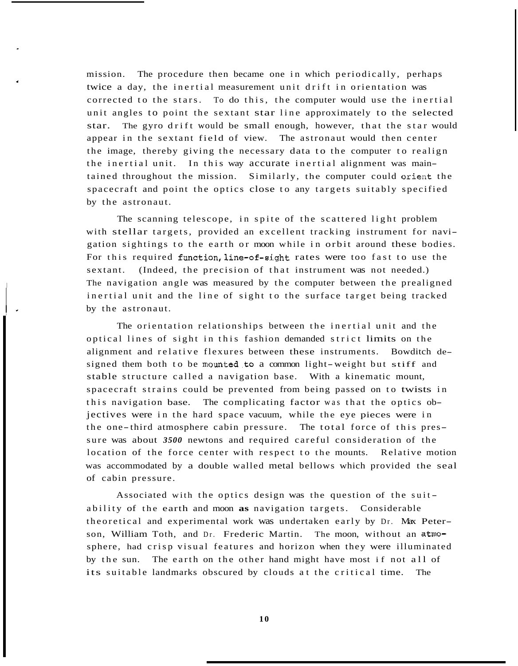mission. The procedure then became one in which periodically, perhaps twice a day, the inertial measurement unit drift in orientation was corrected to the stars. To do this, the computer would use the inertial unit angles to point the sextant star line approximately to the selected star. The gyro drift would be small enough, however, that the star would appear in the sextant field of view. The astronaut would then center the image, thereby giving the necessary data to the computer to realign the inertial unit. In this way accurate inertial alignment was maintained throughout the mission. Similarly, the computer could orient the spacecraft and point the optics close to any targets suitably specified by the astronaut.

The scanning telescope, in spite of the scattered light problem with stellar targets, provided an excellent tracking instrument for navigation sightings to the earth or moon while in orbit around these bodies. For this required function, line-of-sight rates were too fast to use the sextant. (Indeed, the precision of that instrument was not needed.) The navigation angle was measured by the computer between the prealigned inertial unit and the line of sight to the surface target being tracked by the astronaut.

'.

The orientation relationships between the inertial unit and the optical lines of sight in this fashion demanded strict limits on the alignment and relative flexures between these instruments. Bowditch designed them both to be mounted.to a common light-weight but stiff and stable structure called a navigation base. With a kinematic mount, spacecraft strains could be prevented from being passed on to twists in this navigation base. The complicating factor was that the optics objectives were in the hard space vacuum, while the eye pieces were in the one-third atmosphere cabin pressure. The total force of this pressure was about *3500* newtons and required careful consideration of the location of the force center with respect to the mounts. Relative motion was accommodated by a double walled metal bellows which provided the seal of cabin pressure.

Associated with the optics design was the question of the suitability of the earth and moon **as** navigation targets. Considerable theoretical and experimental work was undertaken early by Dr. Max Peterson, William Toth, and Dr. Frederic Martin. The moon, without an atmosphere, had crisp visual features and horizon when they were illuminated by the sun. The earth on the other hand might have most if not all of its suitable landmarks obscured by clouds at the critical time. The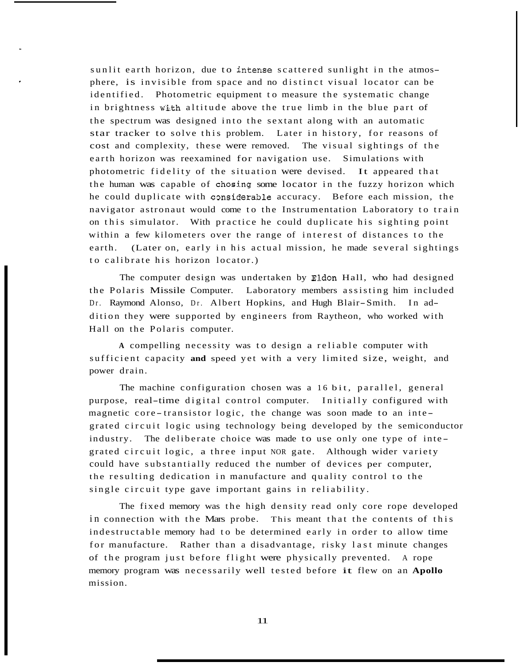sunlit earth horizon, due to intense scattered sunlight in the atmosphere, is invisible from space and no distinct visual locator can be identified. Photometric equipment to measure the systematic change in brightness with altitude above the true limb in the blue part of the spectrum was designed into the sextant along with an automatic star tracker to solve this problem. Later in history, for reasons of cost and complexity, these were removed. The visual sightings of the earth horizon was reexamined for navigation use. Simulations with photometric fidelity of the situation were devised. It appeared that the human was capable of chosing some locator in the fuzzy horizon which he could duplicate with considerable accuracy. Before each mission, the navigator astronaut would come to the Instrumentation Laboratory to train on this simulator. With practice he could duplicate his sighting point within a few kilometers over the range of interest of distances to the earth. (Later on, early in his actual mission, he made several sightings to calibrate his horizon locator.)

The computer design was undertaken by Eldon Hall, who had designed the Polaris Missile Computer. Laboratory members assisting him included Dr. Raymond Alonso, Dr. Albert Hopkins, and Hugh Blair-Smith. In addition they were supported by engineers from Raytheon, who worked with Hall on the Polaris computer.

**<sup>A</sup>**compelling necessity was to design a reliable computer with sufficient capacity **and** speed yet with a very limited size, weight, and power drain.

The machine configuration chosen was a 16 bit, parallel, general purpose, real-time digital control computer. Initially configured with magnetic core-transistor logic, the change was soon made to an integrated circuit logic using technology being developed by the semiconductor industry. The deliberate choice was made to use only one type of integrated circuit logic, a three input NOR gate. Although wider variety could have substantially reduced the number of devices per computer, the resulting dedication in manufacture and quality control to the single circuit type gave important gains in reliability.

The fixed memory was the high density read only core rope developed in connection with the Mars probe. This meant that the contents of this indestructable memory had to be determined early in order to allow time for manufacture. Rather than a disadvantage, risky last minute changes of the program just before flight were physically prevented. A rope memory program was necessarily well tested before it flew on an **Apollo**  mission.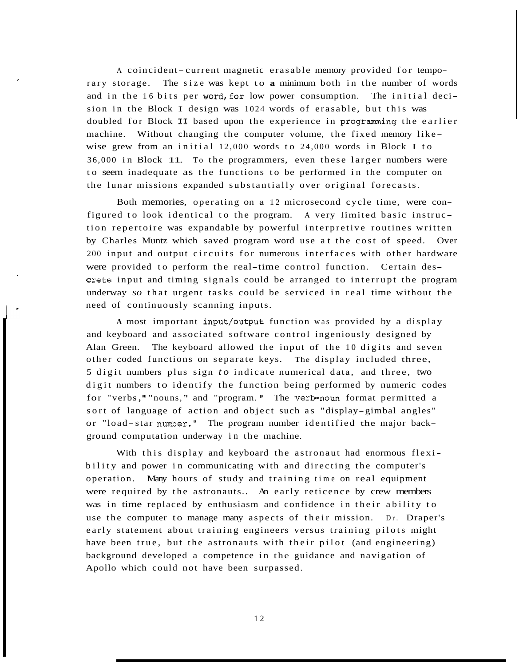A coincident- current magnetic erasable memory provided for temporary storage. The size was kept to **a** minimum both in the number of words and in the 16 bits per word, for low power consumption. The initial decision in the Block I design was 1024 words of erasable, but this was doubled for Block I1 based upon the experience in programming the earlier machine. Without changing the computer volume, the fixed memory like wise grew from an initial 12,000 words to 24,000 words in Block I to 36,000 in Block 11. To the programmers, even these larger numbers were to seem inadequate as the functions to be performed in the computer on the lunar missions expanded substantially over original forecasts.

Both memories, operating on a 12 microsecond cycle time, were configured to look identical to the program. A very limited basic instruc tion repertoire was expandable by powerful interpretive routines written by Charles Muntz which saved program word use at the cost of speed. Over 200 input and output circuits for numerous interfaces with other hardware were provided to perform the real-time control function. Certain des-Crete input and timing signals could be arranged to interrupt the program underway *so* that urgent tasks could be serviced in real time without the need of continuously scanning inputs.

**<sup>A</sup>**most important input/output function was provided by a display and keyboard and associated software control ingeniously designed by Alan Green. The keyboard allowed the input of the 10 digits and seven other coded functions on separate keys. The display included three, 5 digit numbers plus sign *to* indicate numerical data, and three, two digit numbers to identify the function being performed by numeric codes for "verbs," "nouns," and "program." The verb-noun format permitted a sort of language of action and object such as "display-gimbal angles" or " load-star number." The program number identified the major background computation underway in the machine.

With this display and keyboard the astronaut had enormous flexibility and power in communicating with and directing the computer's operation. Many hours of study and training time on real equipment were required by the astronauts.. An early reticence by crew members was in time replaced by enthusiasm and confidence in their ability to use the computer to manage many aspects of their mission. Dr. Draper's early statement about training engineers versus training pilots might have been true, but the astronauts with their pilot (and engineering) background developed a competence in the guidance and navigation of Apollo which could not have been surpassed.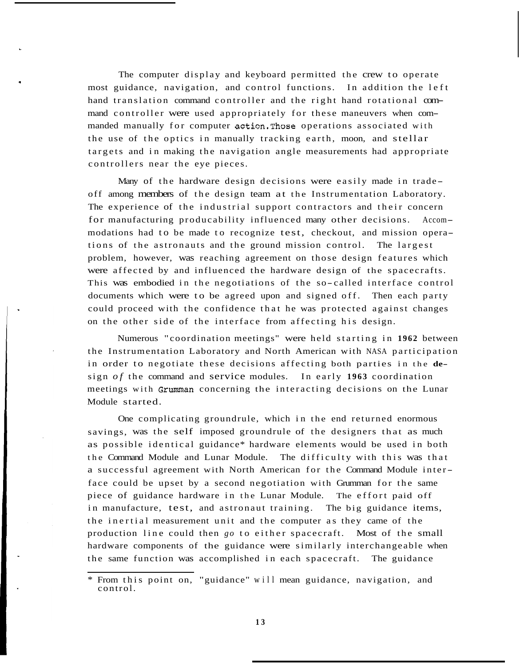The computer display and keyboard permitted the crew to operate most guidance, navigation, and control functions. In addition the left hand translation command controller and the right hand rotational command controller were used appropriately for these maneuvers when commanded manually for computer action. Those operations associated with the use of the optics in manually tracking earth, moon, and stellar targets and in making the navigation angle measurements had appropriate controllers near the eye pieces.

Many of the hardware design decisions were easily made in tradeoff among members of the design team at the Instrumentation Laboratory. The experience of the industrial support contractors and their concern for manufacturing producability influenced many other decisions. Accommodations had to be made to recognize test, checkout, and mission operations of the astronauts and the ground mission control. The largest problem, however, was reaching agreement on those design features which were affected by and influenced the hardware design of the spacecrafts. This was embodied in the negotiations of the so- called interface control documents which were to be agreed upon and signed off. Then each party could proceed with the confidence that he was protected against changes on the other side of the interface from affecting his design.

Numerous " coordination meetings" were held starting in **1962** between the Instrumentation Laboratory and North American with NASA participation in order to negotiate these decisions affecting both parties in the **de**sign *of* the command and service modules. In early **1963** coordination meetings with Grwnman concerning the interacting decisions on the Lunar Module started.

One complicating groundrule, which in the end returned enormous savings, was the self imposed groundrule of the designers that as much as possible identical guidance\* hardware elements would be used in both the Command Module and Lunar Module. The difficulty with this was that a successful agreement with North American for the Command Module interface could be upset by a second negotiation with Grumman for the same piece of guidance hardware in the Lunar Module. The effort paid off in manufacture, test, and astronaut training. The big guidance items, the inertial measurement unit and the computer as they came of the production line could then *go* to either spacecraft. Most of the small hardware components of the guidance were similarly interchangeable when the same function was accomplished in each spacecraft. The guidance

<sup>\*</sup> From this point on, "guidance" will mean guidance, navigation, and control.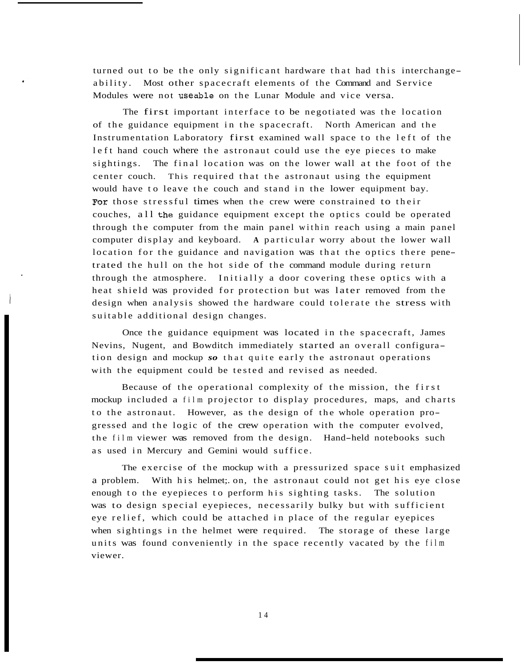turned out to be the only significant hardware that had this interchangeability. Most other spacecraft elements of the Command and Service Modules were not useable on the Lunar Module and vice versa.

The first important interface to be negotiated was the location of the guidance equipment in the spacecraft. North American and the Instrumentation Laboratory first examined wall space to the left of the left hand couch where the astronaut could use the eye pieces to make sightings. The final location was on the lower wall at the foot of the center couch. This required that the astronaut using the equipment would have to leave the couch and stand in the lower equipment bay. For those stressful times when the crew were constrained to their couches, all the guidance equipment except the optics could be operated through the computer from the main panel within reach using a main panel computer display and keyboard. **A** particular worry about the lower wall location for the guidance and navigation was that the optics there penetrated the hull on the hot side of the command module during return through the atmosphere. Initially a door covering these optics with a heat shield was provided for protection but was later removed from the design when analysis showed the hardware could tolerate the stress with suitable additional design changes.

Once the guidance equipment was located in the spacecraft, James Nevins, Nugent, and Bowditch immediately started an overall configuration design and mockup *so* that quite early the astronaut operations with the equipment could be tested and revised as needed.

Because of the operational complexity of the mission, the first mockup included a film projector to display procedures, maps, and charts to the astronaut. However, as the design of the whole operation progressed and the logic of the crew operation with the computer evolved, the film viewer was removed from the design. Hand-held notebooks such as used in Mercury and Gemini would suffice.

The exercise of the mockup with a pressurized space suit emphasized a problem. With his helmet;. on, the astronaut could not get his eye close enough to the eyepieces to perform his sighting tasks. The solution was to design special eyepieces, necessarily bulky but with sufficient eye relief, which could be attached in place of the regular eyepices when sightings in the helmet were required. The storage of these large units was found conveniently in the space recently vacated by the film viewer.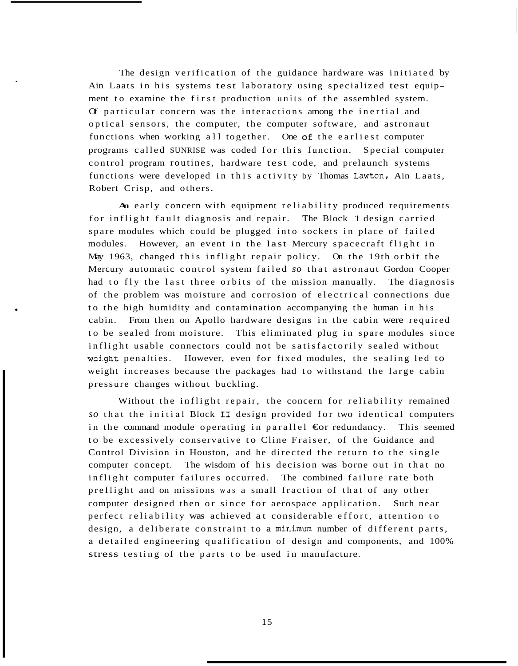The design verification of the guidance hardware was initiated by Ain Laats in his systems test laboratory using specialized test equipment to examine the first production units of the assembled system. Of particular concern was the interactions among the inertial and optical sensors, the computer, the computer software, and astronaut functions when working all together. One of the earliest computer programs called SUNRISE was coded for this function. Special computer control program routines, hardware test code, and prelaunch systems functions were developed in this activity by Thomas Lawton, Ain Laats, Robert Crisp, and others.

**An** early concern with equipment reliability produced requirements for inflight fault diagnosis and repair. The Block 1 design carried spare modules which could be plugged into sockets in place of failed modules. However, an event in the last Mercury spacecraft flight in May 1963, changed this inflight repair policy. On the 19th orbit the Mercury automatic control system failed *so* that astronaut Gordon Cooper had to fly the last three orbits of the mission manually. The diagnosis of the problem was moisture and corrosion of electrical connections due to the high humidity and contamination accompanying the human in his cabin. From then on Apollo hardware designs in the cabin were required to be sealed from moisture. This eliminated plug in spare modules since inflight usable connectors could not be satisfactorily sealed without weight penalties. However, even for fixed modules, the sealing led to weight increases because the packages had to withstand the large cabin pressure changes without buckling.

Without the inflight repair, the concern for reliability remained *so* that the initial Block I1 design provided for two identical computers in the command module operating in parallel  $\Theta$ or redundancy. This seemed to be excessively conservative to Cline Fraiser, of the Guidance and Control Division in Houston, and he directed the return to the single computer concept. The wisdom of his decision was borne out in that no inflight computer failures occurred. The combined failure rate both preflight and on missions was a small fraction of that of any other computer designed then or since for aerospace application. Such near perfect reliability was achieved at considerable effort, attention to design, a deliberate constraint to a minimum number of different parts, a detailed engineering qualification of design and components, and 100% stress testing of the parts to be used in manufacture.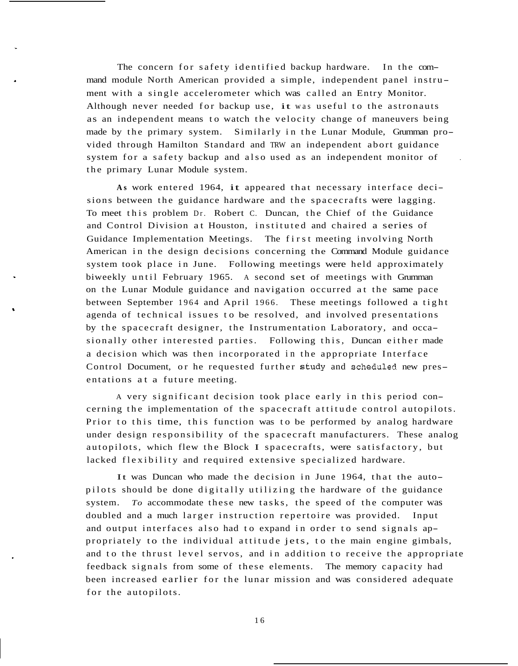The concern for safety identified backup hardware. In the command module North American provided a simple, independent panel instru ment with a single accelerometer which was called an Entry Monitor. Although never needed for backup use, it was useful to the astronauts as an independent means to watch the velocity change of maneuvers being made by the primary system. Similarly in the Lunar Module, Grumman provided through Hamilton Standard and TRW an independent abort guidance system for a safety backup and also used as an independent monitor of . the primary Lunar Module system.

**As** work entered 1964, it appeared that necessary interface decisions between the guidance hardware and the spacecrafts were lagging. To meet this problem Dr. Robert C. Duncan, the Chief of the Guidance and Control Division at Houston, instituted and chaired a series of Guidance Implementation Meetings. The first meeting involving North American in the design decisions concerning the Command Module guidance system took place in June. Following meetings were held approximately biweekly until February 1965. A second set of meetings with Grumman on the Lunar Module guidance and navigation occurred at the same pace between September 1964 and April 1966. These meetings followed a tight agenda of technical issues to be resolved, and involved presentations by the spacecraft designer, the Instrumentation Laboratory, and occasionally other interested parties. Following this, Duncan either made a decision which was then incorporated in the appropriate Interface Control Document, or he requested further study and schedaled new presentations at a future meeting.

A very significant decision took place early in this period concerning the implementation of the spacecraft attitude control autopilots. Prior to this time, this function was to be performed by analog hardware under design responsibility of the spacecraft manufacturers. These analog autopilots, which flew the Block I spacecrafts, were satisfactory, but lacked flexibility and required extensive specialized hardware.

It was Duncan who made the decision in June 1964, that the autopilots should be done digitally utilizing the hardware of the guidance system. *To* accommodate these new tasks, the speed of the computer was doubled and a much larger instruction repertoire was provided. Input and output interfaces also had to expand in order to send signals appropriately to the individual attitude jets, to the main engine gimbals, and to the thrust level servos, and in addition to receive the appropriate feedback signals from some of these elements. The memory capacity had been increased earlier for the lunar mission and was considered adequate for the autopilots.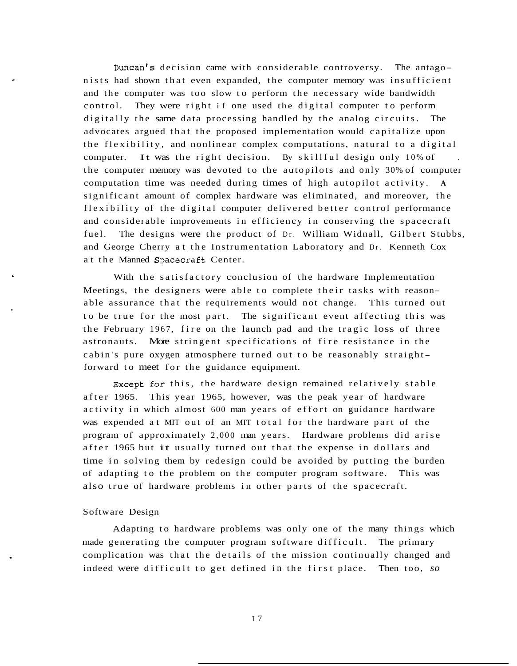Duncan's decision came with considerable controversy. The antagonists had shown that even expanded, the computer memory was insufficient and the computer was too slow to perform the necessary wide bandwidth control. They were right if one used the digital computer to perform digitally the same data processing handled by the analog circuits. The advocates argued that the proposed implementation would capitalize upon the flexibility, and nonlinear complex computations, natural to a digital computer. It was the right decision. By skillful design only 10% of the computer memory was devoted to the autopilots and only 30% of computer computation time was needed during times of high autopilot activity. **<sup>A</sup>** significant amount of complex hardware was eliminated, and moreover, the flexibility of the digital computer delivered better control performance and considerable improvements in efficiency in conserving the spacecraft fuel. The designs were the product of Dr. William Widnall, Gilbert Stubbs, and George Cherry at the Instrumentation Laboratory and Dr. Kenneth Cox at the Manned Spacecraft Center.

With the satisfactory conclusion of the hardware Implementation Meetings, the designers were able to complete their tasks with reasonable assurance that the requirements would not change. This turned out to be true for the most part. The significant event affecting this was the February 1967, fire on the launch pad and the tragic loss of three astronauts. More stringent specifications of fire resistance in the cabin's pure oxygen atmosphere turned out to be reasonably straightforward to meet for the guidance equipment.

Except for this, the hardware design remained relatively stable after 1965. This year 1965, however, was the peak year of hardware activity in which almost 600 man years of effort on guidance hardware was expended at MIT out of an MIT total for the hardware part of the program of approximately 2,000 man years. Hardware problems did arise after 1965 but it usually turned out that the expense in dollars and time in solving them by redesign could be avoided by putting the burden of adapting to the problem on the computer program software. This was also true of hardware problems in other parts of the spacecraft.

# Software Design

Adapting to hardware problems was only one of the many things which made generating the computer program software difficult. The primary complication was that the details of the mission continually changed and indeed were difficult to get defined in the first place. Then too, *so*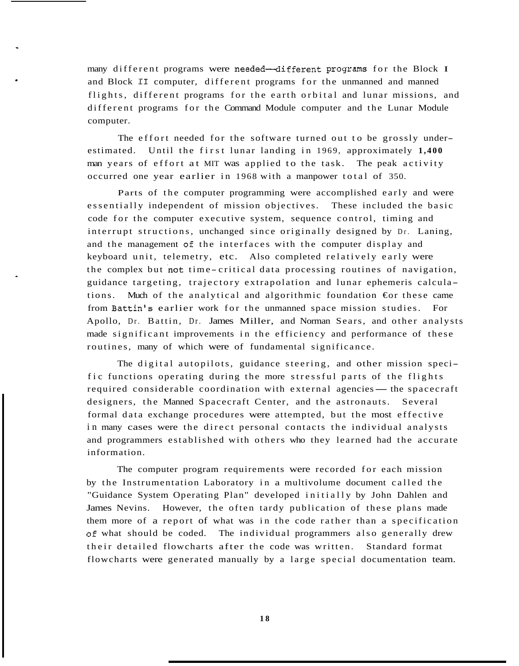many different programs were needed-different programs for the Block I and Block I1 computer, different programs for the unmanned and manned flights, different programs for the earth orbital and lunar missions, and different programs for the Command Module computer and the Lunar Module computer.

The effort needed for the software turned out to be grossly underestimated. Until the first lunar landing in 1969, approximately **1,400**  man years of effort at MIT was applied to the task. The peak activity occurred one year earlier in 1968 with a manpower total of 350.

Parts of the computer programming were accomplished early and were essentially independent of mission objectives. These included the basic code for the computer executive system, sequence control, timing and interrupt structions, unchanged since originally designed by Dr. Laning, and the management of the interfaces with the computer display and keyboard unit, telemetry, etc. Also completed relatively early were the complex but not time-critical data processing routines of navigation, guidance targeting, trajectory extrapolation and lunar ephemeris calculations. Much of the analytical and algorithmic foundation  $\epsilon$ or these came from Battin's earlier work for the unmanned space mission studies. For Apollo, Dr. Battin, Dr. James Miller, and Norman Sears, and other analysts made significant improvements in the efficiency and performance of these routines, many of which were of fundamental significance.

The digital autopilots, guidance steering, and other mission specific functions operating during the more stressful parts of the flights The digital autopilots, guidance steering, and other mission speci-<br>fic functions operating during the more stressful parts of the flights<br>required considerable coordination with external agencies— the spacecraft designers, the Manned Spacecraft Center, and the astronauts. Several formal data exchange procedures were attempted, but the most effective in many cases were the direct personal contacts the individual analysts and programmers established with others who they learned had the accurate information.

The computer program requirements were recorded for each mission by the Instrumentation Laboratory in a multivolume document called the "Guidance System Operating Plan" developed initially by John Dahlen and James Nevins. However, the often tardy publication of these plans made them more of a report of what was in the code rather than a specification of what should be coded. The individual programmers also generally drew their detailed flowcharts after the code was written. Standard format flowcharts were generated manually by a large special documentation team.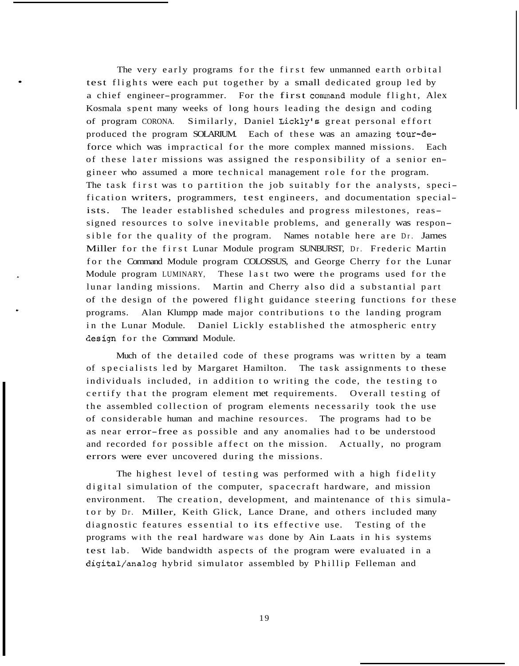. The very early programs for the first few unmanned earth orbital test flights were each put together by a small dedicated group led by a chief engineer-programmer. For the first command module flight, Alex Kosmala spent many weeks of long hours leading the design and coding of program CORONA. Similarly, Daniel Lickly's great personal effort produced the program SOLARIUM. Each of these was an amazing tour-deforce which was impractical for the more complex manned missions. Each of these later missions was assigned the responsibility of a senior engineer who assumed a more technical management role for the program. The task first was to partition the job suitably for the analysts, specification writers, programmers, test engineers, and documentation specialists. The leader established schedules and progress milestones, reassigned resources to solve inevitable problems, and generally was responsible for the quality of the program. Names notable here are Dr. James Miller for the first Lunar Module program SUNBURST, Dr. Frederic Martin for the Command Module program COLOSSUS, and George Cherry for the Lunar Module program LUMINARY, These last two were the programs used for the lunar landing missions. Martin and Cherry also did a substantial part of the design of the powered flight guidance steering functions for these programs. Alan Klumpp made major contributions to the landing program in the Lunar Module. Daniel Lickly established the atmospheric entry 6esign for the Command Module.

> Much of the detailed code of these programs was written by a team of specialists led by Margaret Hamilton. The task assignments to these individuals included, in addition to writing the code, the testing to certify that the program element met requirements. Overall testing of the assembled collection of program elements necessarily took the use of considerable human and machine resources. The programs had to be as near error-free as possible and any anomalies had to be understood and recorded for possible affect on the mission. Actually, no program errors were ever uncovered during the missions.

The highest level of testing was performed with a high fidelity digital simulation of the computer, spacecraft hardware, and mission environment. The creation, development, and maintenance of this simulator by Dr. Miller, Keith Glick, Lance Drane, and others included many diagnostic features essential to its effective use. Testing of the programs with the real hardware was done by Ain Laats in his systems test lab. Wide bandwidth aspects of the program were evaluated in a digital/analog hybrid simulator assembled by Phillip Felleman and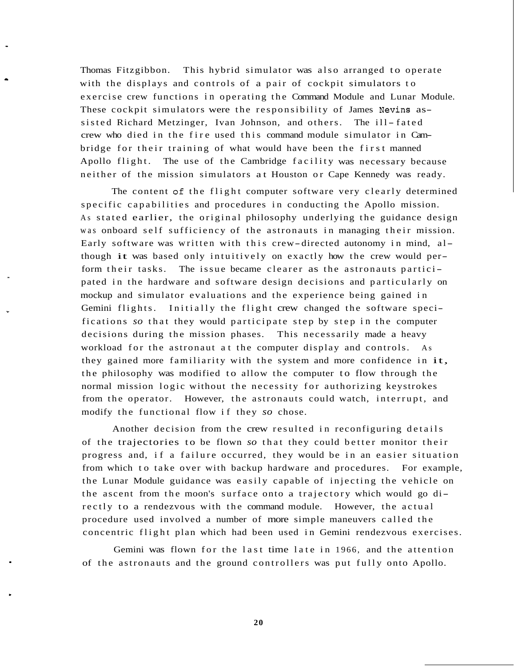Thomas Fitzgibbon. This hybrid simulator was also arranged to operate with the displays and controls of a pair of cockpit simulators to exercise crew functions in operating the Command Module and Lunar Module. These cockpit simulators were the responsibility of James Nevins assisted Richard Metzinger, Ivan Johnson, and others. The ill-fated crew who died in the fire used this command module simulator in Cambridge for their training of what would have been the first manned Apollo flight. The use of the Cambridge facility was necessary because neither of the mission simulators at Houston or Cape Kennedy was ready.

The content of the flight computer software very clearly determined specific capabilities and procedures in conducting the Apollo mission. As stated earlier, the original philosophy underlying the guidance design was onboard self sufficiency of the astronauts in managing their mission. Early software was written with this crew-directed autonomy in mind, although it was based only intuitively on exactly how the crew would perform their tasks. The issue became clearer as the astronauts participated in the hardware and software design decisions and particularly on mockup and simulator evaluations and the experience being gained in Gemini flights. Initially the flight crew changed the software specifications *so* that they would participate step by step in the computer decisions during the mission phases. This necessarily made a heavy workload for the astronaut at the computer display and controls. As they gained more familiarity with the system and more confidence in it, the philosophy was modified to allow the computer to flow through the normal mission logic without the necessity for authorizing keystrokes from the operator. However, the astronauts could watch, interrupt, and modify the functional flow if they *so* chose.

Another decision from the crew resulted in reconfiguring details of the trajectories to be flown *so* that they could better monitor their progress and, if a failure occurred, they would be in an easier situation from which to take over with backup hardware and procedures. For example, the Lunar Module guidance was easily capable of injecting the vehicle on the ascent from the moon's surface onto a trajectory which would go directly to a rendezvous with the command module. However, the actual procedure used involved a number of more simple maneuvers called the concentric flight plan which had been used in Gemini rendezvous exercises.

Gemini was flown for the last time late in 1966, and the attention of the astronauts and the ground controllers was put fully onto Apollo.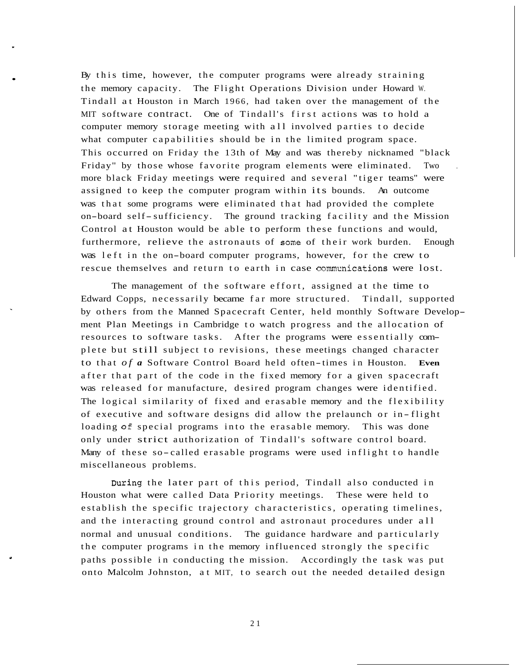By this time, however, the computer programs were already straining the memory capacity. The Flight Operations Division under Howard W. Tindall at Houston in March 1966, had taken over the management of the MIT software contract. One of Tindall's first actions was to hold a computer memory storage meeting with all involved parties to decide what computer capabilities should be in the limited program space. This occurred on Friday the 13th of May and was thereby nicknamed "black Friday" by those whose favorite program elements were eliminated. Two . more black Friday meetings were required and several " tiger teams" were assigned to keep the computer program within its bounds. An outcome was that some programs were eliminated that had provided the complete on-board self-sufficiency. The ground tracking facility and the Mission Control at Houston would be able to perform these functions and would, furthermore, relieve the astronauts of sone of their work burden. Enough was left in the on-board computer programs, however, for the crew to rescue themselves and return to earth in case communications were lost.

The management of the software effort, assigned at the time to Edward Copps, necessarily became far more structured. Tindall, supported by others from the Manned Spacecraft Center, held monthly Software Development Plan Meetings in Cambridge to watch progress and the allocation of resources to software tasks. After the programs were essentially complete but still subject to revisions, these meetings changed character to that *of a* Software Control Board held often-times in Houston. **Even**  after that part of the code in the fixed memory for a given spacecraft was released for manufacture, desired program changes were identified. The logical similarity of fixed and erasable memory and the flexibility of executive and software designs did allow the prelaunch or  $in$ -flight loading *of* special programs into the erasable memory. This was done only under strict authorization of Tindall's software control board. Many of these so-called erasable programs were used inflight to handle miscellaneous problems.

During the later part of this period, Tindall also conducted in Houston what were called Data Priority meetings. These were held to establish the specific trajectory characteristics, operating timelines, and the interacting ground control and astronaut procedures under all normal and unusual conditions. The guidance hardware and particularly the computer programs in the memory influenced strongly the specific paths possible in conducting the mission. Accordingly the task was put onto Malcolm Johnston, at MIT, to search out the needed detailed design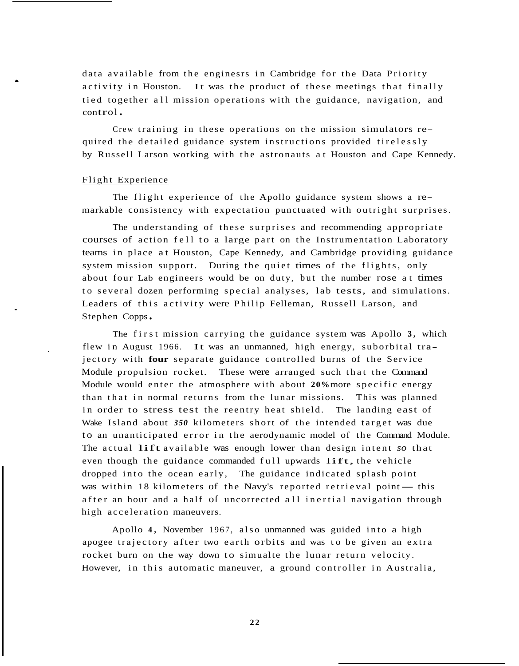data available from the enginesrs in Cambridge for the Data Priority activity in Houston. It was the product of these meetings that finally tied together all mission operations with the guidance, navigation, and control.

Crew training in these operations on the mission simulators required the detailed guidance system instructions provided tirelessly by Russell Larson working with the astronauts at Houston and Cape Kennedy.

### Flight Experience

The flight experience of the Apollo guidance system shows a remarkable consistency with expectation punctuated with outright surprises.

The understanding of these surprises and recommending appropriate courses of action fell to a large part on the Instrumentation Laboratory teams in place at Houston, Cape Kennedy, and Cambridge providing guidance system mission support. During the quiet times of the flights, only about four Lab engineers would be on duty, but the number rose at times to several dozen performing special analyses, lab tests, and simulations. Leaders of this activity were Philip Felleman, Russell Larson, and Stephen Copps . The first mission carrying the guidance system was Apollo **3,** which

flew in August 1966. It was an unmanned, high energy, suborbital trajectory with **four** separate guidance controlled burns of the Service Module propulsion rocket. These were arranged such that the Command Module would enter the atmosphere with about **20%** more specific energy than that in normal returns from the lunar missions. This was planned in order to stress test the reentry heat shield. The landing east of Wake Island about *350* kilometers short of the intended target was due to an unanticipated error in the aerodynamic model of the Command Module. The actual lift available was enough lower than design intent *so* that even though the guidance commanded full upwards lift, the vehicle dropped into the ocean early, The guidance indicated splash point even though the guidance commanded full upwards lift, the vehicle<br>dropped into the ocean early, The guidance indicated splash point<br>was within 18 kilometers of the Navy's reported retrieval point— this after an hour and a half of uncorrected all inertial navigation through high acceleration maneuvers.

Apollo **4,** November 1967, also unmanned was guided into a high apogee trajectory after two earth orbits and was to be given an extra rocket burn on the way down to simualte the lunar return velocity. However, in this automatic maneuver, a ground controller in Australia,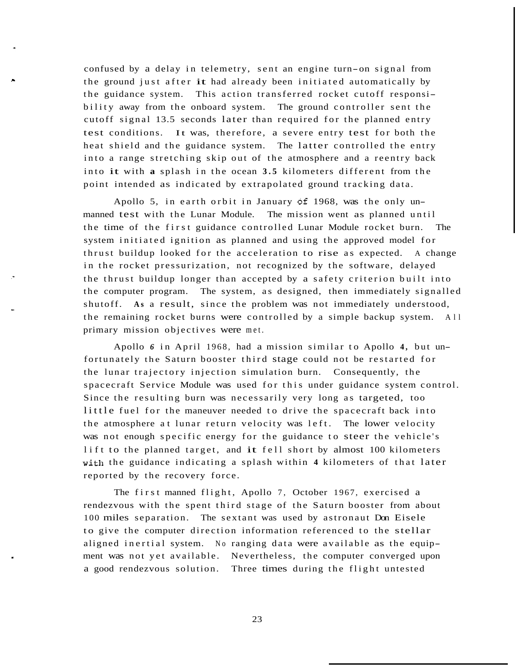confused by a delay in telemetry, sent an engine turn-on signal from the ground just after it had already been initiated automatically by the guidance system. This action transferred rocket cutoff responsibility away from the onboard system. The ground controller sent the cutoff signal 13.5 seconds later than required for the planned entry test conditions. It was, therefore, a severe entry test for both the heat shield and the guidance system. The latter controlled the entry into a range stretching skip out of the atmosphere and a reentry back into it with **a** splash in the ocean **3.5** kilometers different from the point intended as indicated by extrapolated ground tracking data.

 $\overline{a}$ 

Apollo 5, in earth orbit in January **df** 1968, was the only unmanned test with the Lunar Module. The mission went as planned until the time of the first guidance controlled Lunar Module rocket burn. The system initiated ignition as planned and using the approved model for thrust buildup looked for the acceleration to rise as expected. A change in the rocket pressurization, not recognized by the software, delayed the thrust buildup longer than accepted by a safety criterion built into the computer program. The system, as designed, then immediately signalled shutoff. **As** a result, since the problem was not immediately understood, the remaining rocket burns were controlled by a simple backup system. All primary mission objectives were met.

Apollo *6* in April 1968, had a mission similar to Apollo **4,** but unfortunately the Saturn booster third stage could not be restarted for the lunar trajectory injection simulation burn. Consequently, the spacecraft Service Module was used for this under guidance system control. Since the resulting burn was necessarily very long as targeted, too little fuel for the maneuver needed to drive the spacecraft back into the atmosphere at lunar return velocity was left. The lower velocity was not enough specific energy for the guidance to steer the vehicle's lift to the planned target, and it fell short by almost 100 kilometers with the guidance indicating a splash within **4** kilometers of that later reported by the recovery force.

The first manned flight, Apollo 7, October 1967, exercised a rendezvous with the spent third stage of the Saturn booster from about 100 miles separation. The sextant was used by astronaut Don Eisele to give the computer direction information referenced to the stellar aligned inertial system. No ranging data were available as the equipment was not yet available. Nevertheless, the computer converged upon a good rendezvous solution. Three times during the flight untested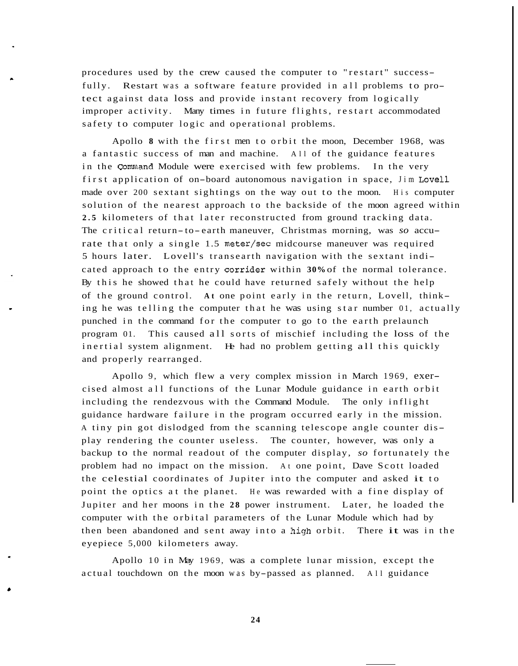procedures used by the crew caused the computer to "restart" successfully. Restart was a software feature provided in all problems to protect against data loss and provide instant recovery from logically improper activity. Many times in future flights, restart accommodated safety to computer logic and operational problems.

Apollo **8** with the first men to orbit the moon, December 1968, was a fantastic success of man and machine. All of the guidance features in the Command Module were exercised with few problems. In the very first application of on-board autonomous navigation in space, Jim Lovell made over 200 sextant sightings on the way out to the moon. His computer solution of the nearest approach to the backside of the moon agreed within **2.5** kilometers of that later reconstructed from ground tracking data. The critical return-to- earth maneuver, Christmas morning, was *so* accurate that only a single 1.5 meter/sec midcourse maneuver was required 5 hours later. Lovell's transearth navigation with the sextant indicated approach to the entry corrider within **30%** of the normal tolerance. By this he showed that he could have returned safely without the help of the ground control. **At** one point early in the return, Lovell, thinking he was telling the computer that he was using star number 01, actually punched in the command for the computer to go to the earth prelaunch program 01. This caused all sorts of mischief including the loss of the inertial system alignment. He had no problem getting all this quickly and properly rearranged.

Apollo 9, which flew a very complex mission in March 1969, exercised almost all functions of the Lunar Module guidance in earth orbit including the rendezvous with the Command Module. The only inflight guidance hardware failure in the program occurred early in the mission. A tiny pin got dislodged from the scanning telescope angle counter display rendering the counter useless. The counter, however, was only a backup to the normal readout of the computer display, *so* fortunately the problem had no impact on the mission. At one point, Dave Scott loaded the celestial coordinates of Jupiter into the computer and asked it to point the optics at the planet. He was rewarded with a fine display of Jupiter and her moons in the **28** power instrument. Later, he loaded the computer with the orbital parameters of the Lunar Module which had by then been abandoned and sent away into a hiqh orbit. There it was in the eyepiece 5,000 kilometers away.

Apollo 10 in May 1969, was a complete lunar mission, except the actual touchdown on the moon was by-passed as planned. All guidance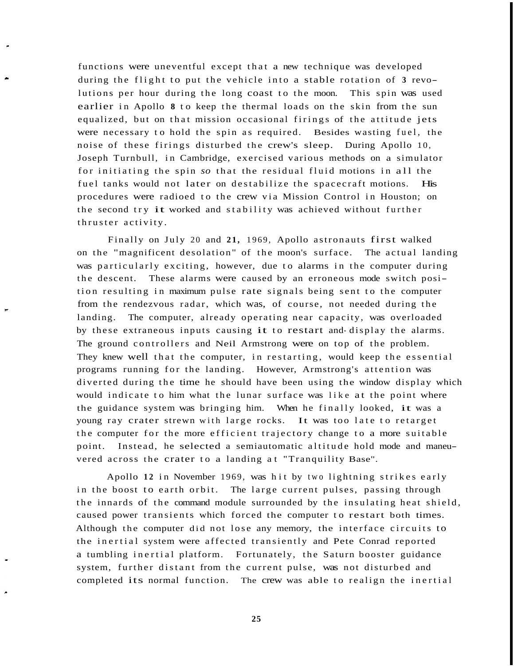functions were uneventful except that a new technique was developed during the flight to put the vehicle into a stable rotation of **3** revolutions per hour during the long coast to the moon. This spin was used earlier in Apollo **8** to keep the thermal loads on the skin from the sun equalized, but on that mission occasional firings of the attitude jets were necessary to hold the spin as required. Besides wasting fuel, the noise of these firings disturbed the crew's sleep. During Apollo 10, Joseph Turnbull, in Cambridge, exercised various methods on a simulator for initiating the spin *so* that the residual fluid motions in all the fuel tanks would not later on destabilize the spacecraft motions. His procedures were radioed to the crew via Mission Control in Houston; on the second try it worked and stability was achieved without further thruster activity.

Finally on July 20 and **21,** 1969, Apollo astronauts first walked on the "magnificent desolation" of the moon's surface. The actual landing was particularly exciting, however, due to alarms in the computer during the descent. These alarms were caused by an erroneous mode switch position resulting in maximum pulse rate signals being sent to the computer from the rendezvous radar, which was, of course, not needed during the landing. The computer, already operating near capacity, was overloaded by these extraneous inputs causing it to restart and- display the alarms. The ground controllers and Neil Armstrong were on top of the problem. They knew well that the computer, in restarting, would keep the essential programs running for the landing. However, Armstrong's attention was diverted during the time he should have been using the window display which would indicate to him what the lunar surface was like at the point where the guidance system was bringing him. When he finally looked, it was a young ray crater strewn with large rocks. It was too late to retarget the computer for the more efficient trajectory change to a more suitable point. Instead, he selected a semiautomatic altitude hold mode and maneuvered across the crater to a landing at "Tranquility Base".

Apollo **12** in November 1969, was hit by two lightning strikes early in the boost to earth orbit. The large current pulses, passing through the innards of the command module surrounded by the insulating heat shield, caused power transients which forced the computer to restart both times. Although the computer did not lose any memory, the interface circuits to the inertial system were affected transiently and Pete Conrad reported a tumbling inertial platform. Fortunately, the Saturn booster guidance system, further distant from the current pulse, was not disturbed and completed its normal function. The crew was able to realign the inertial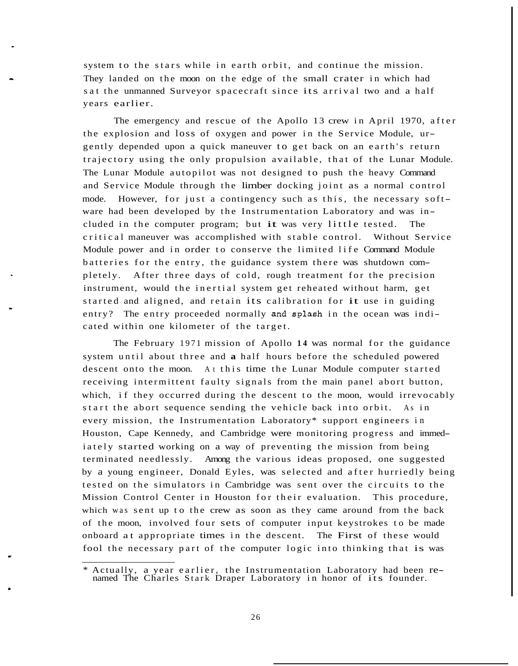system to the stars while in earth orbit, and continue the mission. They landed on the moon on the edge of the small crater in which had sat the unmanned Surveyor spacecraft since its arrival two and a half years earlier.

The emergency and rescue of the Apollo 13 crew in April 1970, after the explosion and loss of oxygen and power in the Service Module, urgently depended upon a quick maneuver to get back on an earth's return trajectory using the only propulsion available, that of the Lunar Module. The Lunar Module autopilot was not designed to push the heavy Command and Service Module through the limber docking joint as a normal control mode. However, for just a contingency such as this, the necessary software had been developed by the Instrumentation Laboratory and was included in the computer program; but it was very little tested. The critical maneuver was accomplished with stable control. Without Service Module power and in order to conserve the limited life Command Module batteries for the entry, the guidance system there was shutdown completely. After three days of cold, rough treatment for the precision instrument, would the inertial system get reheated without harm, get started and aligned, and retain its calibration for it use in guiding entry? The entry proceeded normally and splash in the ocean was indicated within one kilometer of the target.

The February 1971 mission of Apollo **14** was normal for the guidance system until about three and **a** half hours before the scheduled powered descent onto the moon. At this time the Lunar Module computer started receiving intermittent faulty signals from the main panel abort button, which, if they occurred during the descent to the moon, would irrevocably start the abort sequence sending the vehicle back into orbit. As in every mission, the Instrumentation Laboratory\* support engineers in Houston, Cape Kennedy, and Cambridge were monitoring progress and immediately started working on a way of preventing the mission from being terminated needlessly. Among the various ideas proposed, one suggested by a young engineer, Donald Eyles, was selected and after hurriedly being tested on the simulators in Cambridge was sent over the circuits to the Mission Control Center in Houston for their evaluation. This procedure, which was sent up to the crew as soon as they came around from the back of the moon, involved four sets of computer input keystrokes to be made onboard at appropriate times in the descent. The First of these would fool the necessary part of the computer logic into thinking that is was

<sup>\*</sup> Actually, a year earlier, the Instrumentation Laboratory had been re- named The Charles Stark Draper Laboratory in honor of its founder.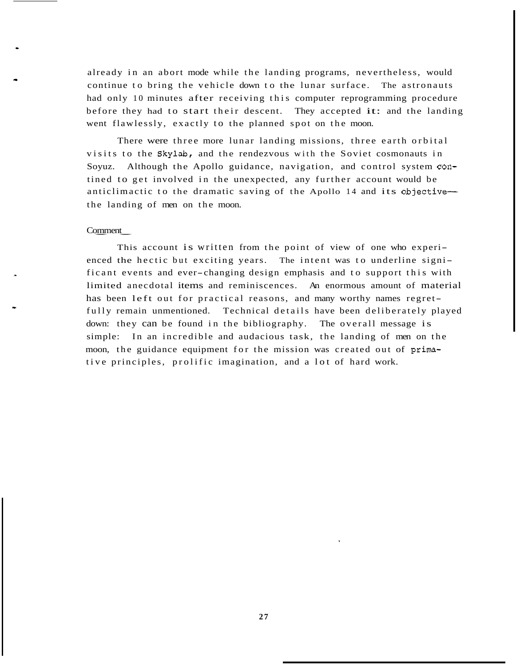already in an abort mode while the landing programs, nevertheless, would continue to bring the vehicle down to the lunar surface. The astronauts had only 10 minutes after receiving this computer reprogramming procedure before they had to start their descent. They accepted it: and the landing went flawlessly, exactly to the planned spot on the moon.

There were three more lunar landing missions, three earth orbital visits to the Skylab, and the rendezvous with the Soviet cosmonauts in Soyuz. Although the Apollo guidance, navigation, and control system contined to get involved in the unexpected, any further account would be anticlimactic to the dramatic saving of the Apollo 14 and its objectivethe landing of men on the moon. There were<br>visits to the Sky<br>Soyuz. Although<br>tined to get invo<br>anticlimactic to<br>the landing of me<br>Comment<br>This accoun

### Comment

This account is written from the point of view of one who experienced the hectic but exciting years. The intent was to underline significant events and ever-changing design emphasis and to support this with limited anecdotal items and reminiscences. An enormous amount of material has been left out for practical reasons, and many worthy names regretfully remain unmentioned. Technical details have been deliberately played down: they can be found in the bibliography. The overall message is simple: In an incredible and audacious task, the landing of men on the moon, the guidance equipment for the mission was created out of primative principles, prolific imagination, and a lot of hard work.